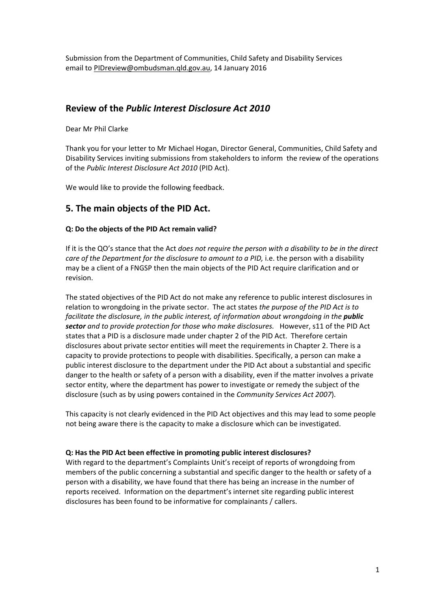Submission from the Department of Communities, Child Safety and Disability Services email t[o PIDreview@ombudsman.qld.gov.au,](mailto:PIDreview@ombudsman.qld.gov.au) 14 January 2016

### **Review of the** *Public Interest Disclosure Act 2010*

Dear Mr Phil Clarke

Thank you for your letter to Mr Michael Hogan, Director General, Communities, Child Safety and Disability Services inviting submissions from stakeholders to inform the review of the operations of the *Public Interest Disclosure Act 2010* (PID Act).

We would like to provide the following feedback.

## **5. The main objects of the PID Act.**

#### **Q: Do the objects of the PID Act remain valid?**

If it is the QO's stance that the Act *does not require the person with a disability to be in the direct care of the Department for the disclosure to amount to a PID,* i.e. the person with a disability may be a client of a FNGSP then the main objects of the PID Act require clarification and or revision.

The stated objectives of the PID Act do not make any reference to public interest disclosures in relation to wrongdoing in the private sector. The act states *the purpose of the PID Act is to facilitate the disclosure, in the public interest, of information about wrongdoing in the public sector and to provide protection for those who make disclosures.* However, s11 of the PID Act states that a PID is a disclosure made under chapter 2 of the PID Act. Therefore certain disclosures about private sector entities will meet the requirements in Chapter 2. There is a capacity to provide protections to people with disabilities. Specifically, a person can make a public interest disclosure to the department under the PID Act about a substantial and specific danger to the health or safety of a person with a disability, even if the matter involves a private sector entity, where the department has power to investigate or remedy the subject of the disclosure (such as by using powers contained in the *Community Services Act 2007*).

This capacity is not clearly evidenced in the PID Act objectives and this may lead to some people not being aware there is the capacity to make a disclosure which can be investigated.

#### **Q: Has the PID Act been effective in promoting public interest disclosures?**

With regard to the department's Complaints Unit's receipt of reports of wrongdoing from members of the public concerning a substantial and specific danger to the health or safety of a person with a disability, we have found that there has being an increase in the number of reports received. Information on the department's internet site regarding public interest disclosures has been found to be informative for complainants / callers.